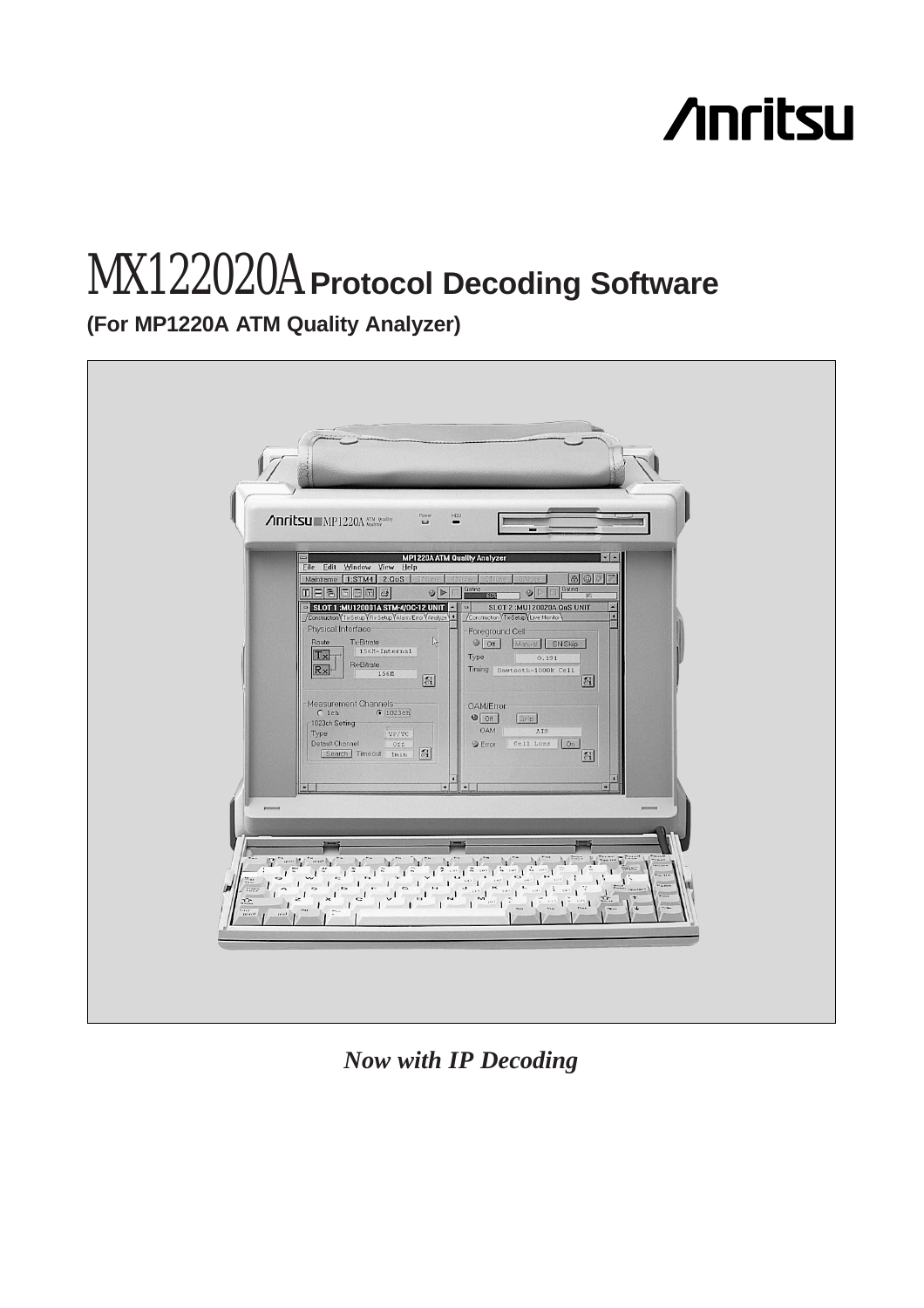# **Anritsu**

# MX122020A **Protocol Decoding Software**

**(For MP1220A ATM Quality Analyzer)**



*Now with IP Decoding*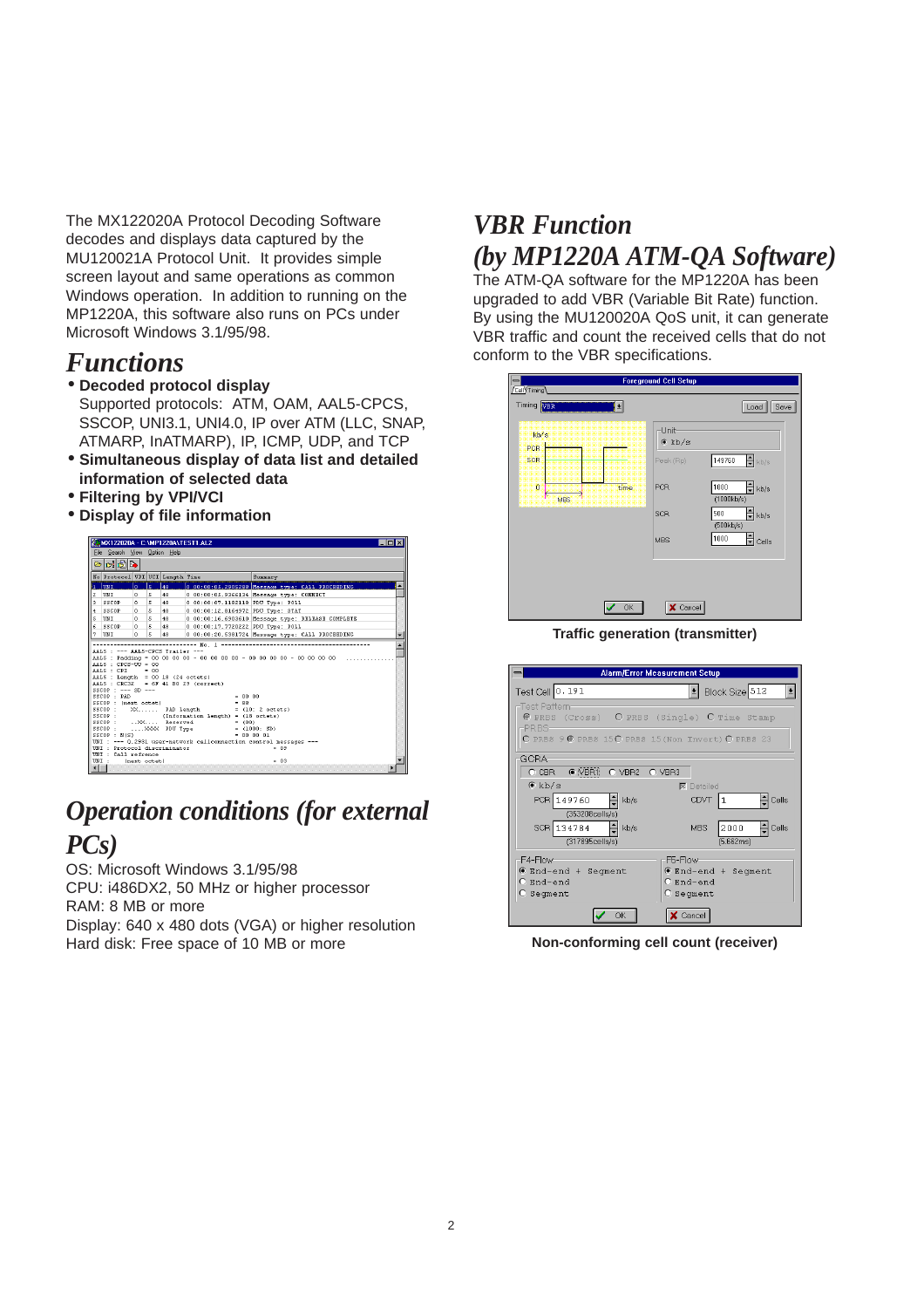The MX122020A Protocol Decoding Software decodes and displays data captured by the MU120021A Protocol Unit. It provides simple screen layout and same operations as common Windows operation. In addition to running on the MP1220A, this software also runs on PCs under Microsoft Windows 3.1/95/98.

### *Functions*

#### • **Decoded protocol display**

- Supported protocols: ATM, OAM, AAL5-CPCS, SSCOP, UNI3.1, UNI4.0, IP over ATM (LLC, SNAP, ATMARP, InATMARP), IP, ICMP, UDP, and TCP
- **Simultaneous display of data list and detailed information of selected data**
- **Filtering by VPI/VCI**
- **Display of file information**



### *Operation conditions (for external PCs)*

OS: Microsoft Windows 3.1/95/98 CPU: i486DX2, 50 MHz or higher processor RAM: 8 MB or more Display: 640 x 480 dots (VGA) or higher resolution Hard disk: Free space of 10 MB or more

## *VBR Function (by MP1220A ATM-QA Software)*

The ATM-QA software for the MP1220A has been upgraded to add VBR (Variable Bit Rate) function. By using the MU120020A QoS unit, it can generate VBR traffic and count the received cells that do not conform to the VBR specifications.

| $\equiv$<br>Cell Timing              | <b>Foreground Cell Setup</b> |                                                 |
|--------------------------------------|------------------------------|-------------------------------------------------|
| Timing VER<br>회                      |                              | Save<br>Load                                    |
| kb/s<br>PCR                          | Unit<br>$\bullet$ kb/s       |                                                 |
| SCR                                  | Peak (Rp)                    | $\frac{1}{\sqrt{2}}$ kb/s<br>149760             |
| $\overline{0}$<br>time<br><b>MBS</b> | PCR                          | $\frac{1}{\sqrt{2}}$ kb/s<br>1000<br>(1000kb/s) |
|                                      | <b>SCR</b>                   | $\frac{1}{2}$ kb/s<br>500<br>(500kb/s)          |
|                                      | MBS                          | $\frac{1}{2}$ Cells<br>1000                     |
|                                      |                              |                                                 |
| OK                                   | X Cancel                     |                                                 |
|                                      |                              |                                                 |

**Traffic generation (transmitter)**



**Non-conforming cell count (receiver)**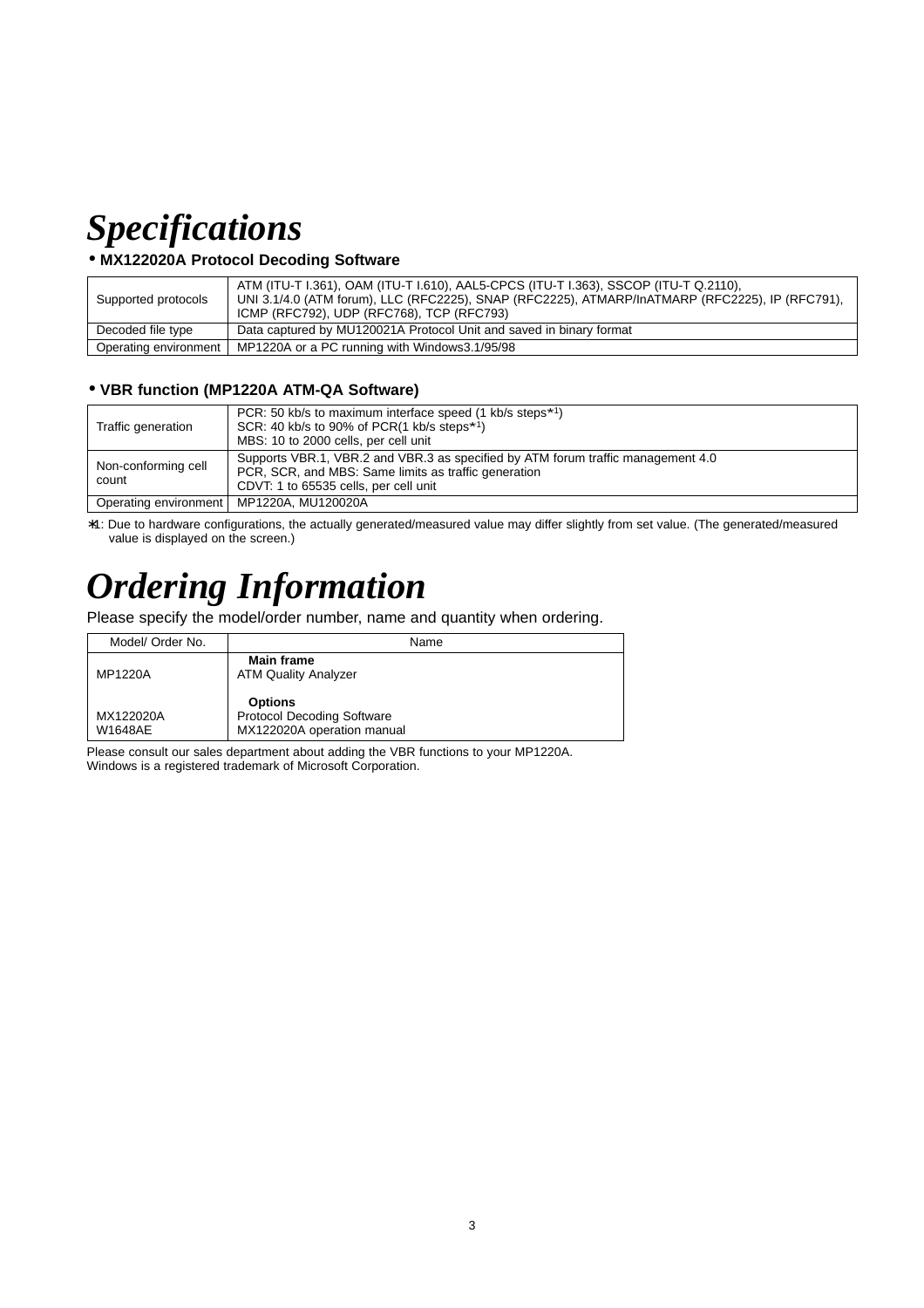## *Specifications*

#### • **MX122020A Protocol Decoding Software**

| Supported protocols   | ATM (ITU-T I.361), OAM (ITU-T I.610), AAL5-CPCS (ITU-T I.363), SSCOP (ITU-T Q.2110),<br>UNI 3.1/4.0 (ATM forum), LLC (RFC2225), SNAP (RFC2225), ATMARP/InATMARP (RFC2225), IP (RFC791),<br>ICMP (RFC792), UDP (RFC768), TCP (RFC793) |
|-----------------------|--------------------------------------------------------------------------------------------------------------------------------------------------------------------------------------------------------------------------------------|
| Decoded file type     | Data captured by MU120021A Protocol Unit and saved in binary format                                                                                                                                                                  |
| Operating environment | MP1220A or a PC running with Windows3.1/95/98                                                                                                                                                                                        |

#### • **VBR function (MP1220A ATM-QA Software)**

| Traffic generation           | PCR: 50 kb/s to maximum interface speed (1 kb/s steps <sup>*1</sup> )<br>SCR: 40 kb/s to 90% of PCR(1 kb/s steps $*1$ )<br>MBS: 10 to 2000 cells, per cell unit                   |
|------------------------------|-----------------------------------------------------------------------------------------------------------------------------------------------------------------------------------|
| Non-conforming cell<br>count | Supports VBR.1, VBR.2 and VBR.3 as specified by ATM forum traffic management 4.0<br>PCR, SCR, and MBS: Same limits as traffic generation<br>CDVT: 1 to 65535 cells, per cell unit |
| Operating environment        | MP1220A. MU120020A                                                                                                                                                                |

∗1: Due to hardware configurations, the actually generated/measured value may differ slightly from set value. (The generated/measured value is displayed on the screen.)

# *Ordering Information*

Please specify the model/order number, name and quantity when ordering.

| Model/ Order No.     | Name                                                                              |
|----------------------|-----------------------------------------------------------------------------------|
| MP1220A              | <b>Main frame</b><br><b>ATM Quality Analyzer</b>                                  |
| MX122020A<br>W1648AE | <b>Options</b><br><b>Protocol Decoding Software</b><br>MX122020A operation manual |

Please consult our sales department about adding the VBR functions to your MP1220A. Windows is a registered trademark of Microsoft Corporation.